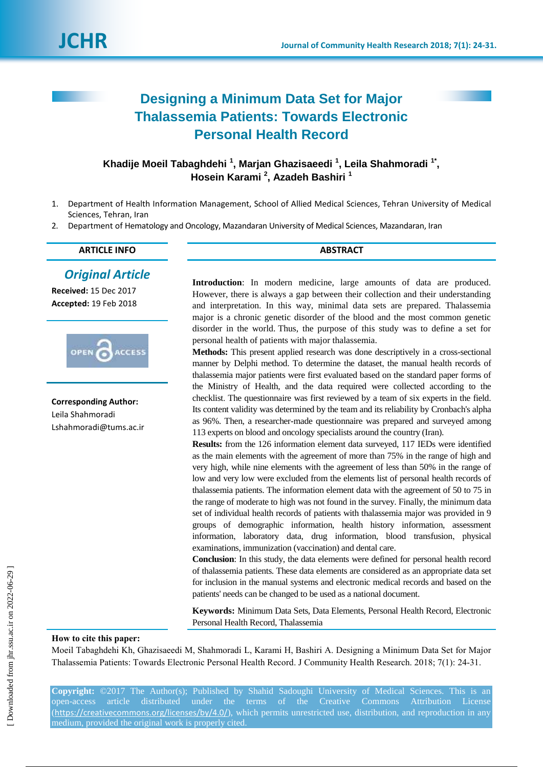# **Designing a Minimum Data Set for Major Thalassemia Patients: Towards Electronic Personal Health Record**

# Khadije Moeil Tabaghdehi<sup>1</sup>, Marjan Ghazisaeedi<sup>1</sup>, Leila Shahmoradi<sup>1\*</sup>, **Hosein Karami <sup>2</sup> , Azadeh Bashiri <sup>1</sup>**

- 1. Department of Health Information Management, School of Allied Medical Sciences, Tehran University of Medical Sciences, Tehran, Iran
- 2. Department of Hematology and Oncology, Mazandaran University of Medical Sciences, Mazandaran, Iran

| <b>CLE INFO</b><br><b>ARTICL'</b> | ABSTRACT |
|-----------------------------------|----------|
|                                   |          |

*Original Article*

**Received:** 15 Dec 2017 **Accepted:** 19 Feb 2018



**Corresponding Author:** Leila Shahmoradi Lshahmoradi@tums.ac.ir **Introduction**: In modern medicine, large amounts of data are produced. However, there is always a gap between their collection and their understanding and interpretation. In this way, minimal data sets are prepared. Thalassemia major is a chronic genetic disorder of the blood and the most common genetic disorder in the world. Thus, the purpose of this study was to define a set for personal health of patients with major thalassemia.

**Methods:** This present applied research was done descriptively in a cross-sectional manner by Delphi method. To determine the dataset, the manual health records of thalassemia major patients were first evaluated based on the standard paper forms of the Ministry of Health, and the data required were collected according to the checklist. The questionnaire was first reviewed by a team of six experts in the field. Its content validity was determined by the team and its reliability by Cronbach's alpha as 96%. Then, a researcher-made questionnaire was prepared and surveyed among 113 experts on blood and oncology specialists around the country (Iran).

**Results:** from the 126 information element data surveyed, 117 IEDs were identified as the main elements with the agreement of more than 75% in the range of high and very high, while nine elements with the agreement of less than 50% in the range of low and very low were excluded from the elements list of personal health records of thalassemia patients. The information element data with the agreement of 50 to 75 in the range of moderate to high was not found in the survey. Finally, the minimum data set of individual health records of patients with thalassemia major was provided in 9 groups of demographic information, health history information, assessment information, laboratory data, drug information, blood transfusion, physical examinations, immunization (vaccination) and dental care.

**Conclusion**: In this study, the data elements were defined for personal health record of thalassemia patients. These data elements are considered as an appropriate data set for inclusion in the manual systems and electronic medical records and based on the patients' needs can be changed to be used as a national document.

**Keywords:** Minimum Data Sets, Data Elements, Personal Health Record, Electronic Personal Health Record, Thalassemia

### **How to cite this paper:**

Moeil Tabaghdehi Kh, Ghazisaeedi M, Shahmoradi L, Karami H, Bashiri A. Designing a Minimum Data Set for Major Thalassemia Patients: Towards Electronic Personal Health Record. J Community Health Research. 2018; 7(1): 24-31.

**Copyright:** ©2017 The Author(s); Published by Shahid Sadoughi University of Medical Sciences. This is an open-access article distributed under the terms of the Creative Commons Attribution License (<https://creativecommons.org/licenses/by/4.0/>), which permits unrestricted use, distribution, and reproduction in any medium, provided the original work is properly cited.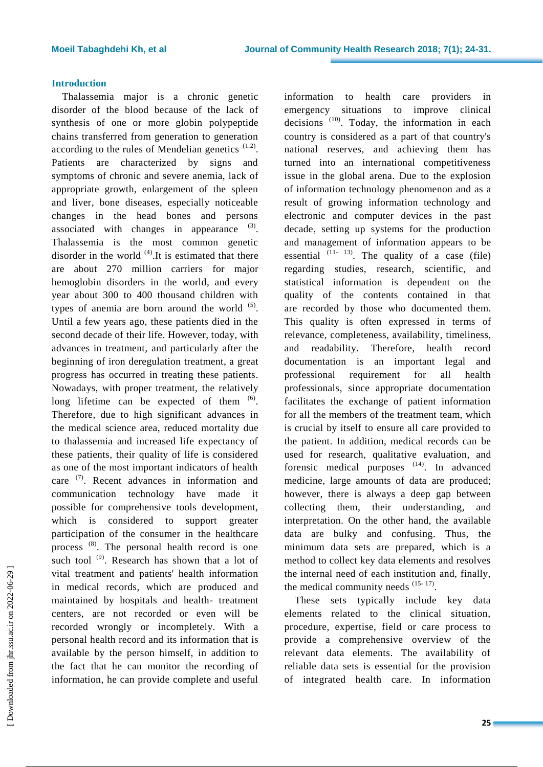## **Introduction**

Thalassemia major is a chronic genetic disorder of the blood because of the lack of synthesis of one or more globin polypeptide chains transferred from generation to generation according to the rules of Mendelian genetics  $(1.2)$ . Patients are characterized by signs and symptoms of chronic and severe anemia, lack of appropriate growth, enlargement of the spleen and liver, bone diseases, especially noticeable changes in the head bones and persons associated with changes in appearance  $(3)$ . Thalassemia is the most common genetic disorder in the world  $(4)$ . It is estimated that there are about 270 million carriers for major hemoglobin disorders in the world, and every year about 300 to 400 thousand children with types of anemia are born around the world  $(5)$ . Until a few years ago, these patients died in the second decade of their life. However, today, with advances in treatment, and particularly after the beginning of iron deregulation treatment, a great progress has occurred in treating these patients. Nowadays, with proper treatment, the relatively long lifetime can be expected of them  $(6)$ . Therefore, due to high significant advances in the medical science area, reduced mortality due to thalassemia and increased life expectancy of these patients, their quality of life is considered as one of the most important indicators of health care <sup>(7)</sup>. Recent advances in information and communication technology have made it possible for comprehensive tools development, which is considered to support greater participation of the consumer in the healthcare process (8). The personal health record is one such tool  $^{(9)}$ . Research has shown that a lot of vital treatment and patients' health information in medical records, which are produced and maintained by hospitals and health- treatment centers, are not recorded or even will be recorded wrongly or incompletely. With a personal health record and its information that is available by the person himself, in addition to the fact that he can monitor the recording of information, he can provide complete and useful

information to health care providers in emergency situations to improve clinical decisions  $(10)$ . Today, the information in each country is considered as a part of that country's national reserves, and achieving them has turned into an international competitiveness issue in the global arena. Due to the explosion of information technology phenomenon and as a result of growing information technology and electronic and computer devices in the past decade, setting up systems for the production and management of information appears to be essential  $(11 - 13)$ . The quality of a case (file) regarding studies, research, scientific, and statistical information is dependent on the quality of the contents contained in that are recorded by those who documented them. This quality is often expressed in terms of relevance, completeness, availability, timeliness, and readability. Therefore, health record documentation is an important legal and professional requirement for all health professionals, since appropriate documentation facilitates the exchange of patient information for all the members of the treatment team, which is crucial by itself to ensure all care provided to the patient. In addition, medical records can be used for research, qualitative evaluation, and forensic medical purposes  $(14)$ . In advanced medicine, large amounts of data are produced; however, there is always a deep gap between collecting them, their understanding, and interpretation. On the other hand, the available data are bulky and confusing. Thus, the minimum data sets are prepared, which is a method to collect key data elements and resolves the internal need of each institution and, finally, the medical community needs  $(15-17)$ .

These sets typically include key data elements related to the clinical situation, procedure, expertise, field or care process to provide a comprehensive overview of the relevant data elements. The availability of reliable data sets is essential for the provision of integrated health care. In information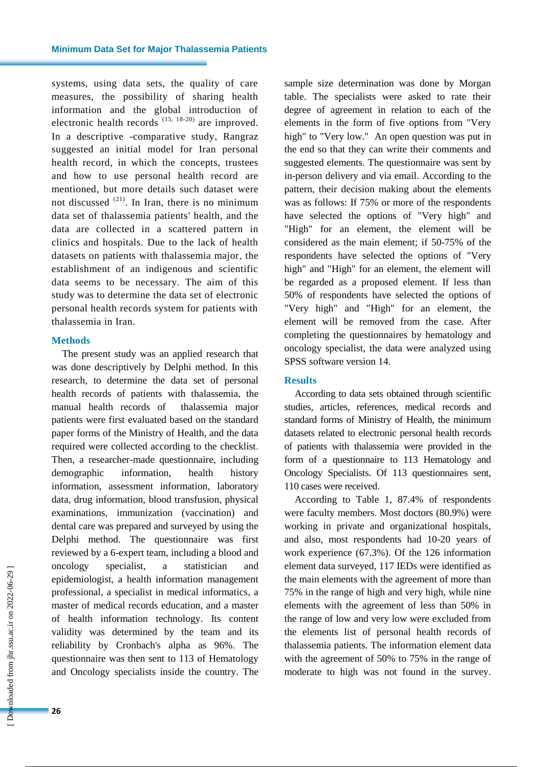systems, using data sets, the quality of care measures, the possibility of sharing health information and the global introduction of electronic health records (15, 18-20) are improved. In a descriptive -comparative study, Rangraz suggested an initial model for Iran personal health record, in which the concepts, trustees and how to use personal health record are mentioned, but more details such dataset were not discussed  $^{(21)}$ . In Iran, there is no minimum data set of thalassemia patients' health, and the data are collected in a scattered pattern in clinics and hospitals. Due to the lack of health datasets on patients with thalassemia major, the establishment of an indigenous and scientific data seems to be necessary. The aim of this study was to determine the data set of electronic personal health records system for patients with thalassemia in Iran.

#### **Methods**

The present study was an applied research that was done descriptively by Delphi method. In this research, to determine the data set of personal health records of patients with thalassemia, the manual health records of thalassemia major patients were first evaluated based on the standard paper forms of the Ministry of Health, and the data required were collected according to the checklist. Then, a researcher-made questionnaire, including demographic information, health history information, assessment information, laboratory data, drug information, blood transfusion, physical examinations, immunization (vaccination) and dental care was prepared and surveyed by using the Delphi method. The questionnaire was first reviewed by a 6-expert team, including a blood and oncology specialist, a statistician and epidemiologist, a health information management professional, a specialist in medical informatics, a master of medical records education, and a master of health information technology. Its content validity was determined by the team and its reliability by Cronbach's alpha as 96%. The questionnaire was then sent to 113 of Hematology and Oncology specialists inside the country. The

sample size determination was done by Morgan table. The specialists were asked to rate their degree of agreement in relation to each of the elements in the form of five options from "Very high" to "Very low." An open question was put in the end so that they can write their comments and suggested elements. The questionnaire was sent by in-person delivery and via email. According to the pattern, their decision making about the elements was as follows: If 75% or more of the respondents have selected the options of "Very high" and "High" for an element, the element will be considered as the main element; if 50-75% of the respondents have selected the options of "Very high" and "High" for an element, the element will be regarded as a proposed element. If less than 50% of respondents have selected the options of "Very high" and "High" for an element, the element will be removed from the case. After completing the questionnaires by hematology and oncology specialist, the data were analyzed using SPSS software version 14.

#### **Results**

According to data sets obtained through scientific studies, articles, references, medical records and standard forms of Ministry of Health, the minimum datasets related to electronic personal health records of patients with thalassemia were provided in the form of a questionnaire to 113 Hematology and Oncology Specialists. Of 113 questionnaires sent, 110 cases were received.

According to Table 1, 87.4% of respondents were faculty members. Most doctors (80.9%) were working in private and organizational hospitals, and also, most respondents had 10-20 years of work experience (67.3%). Of the 126 information element data surveyed, 117 IEDs were identified as the main elements with the agreement of more than 75% in the range of high and very high, while nine elements with the agreement of less than 50% in the range of low and very low were excluded from the elements list of personal health records of thalassemia patients. The information element data with the agreement of 50% to 75% in the range of moderate to high was not found in the survey.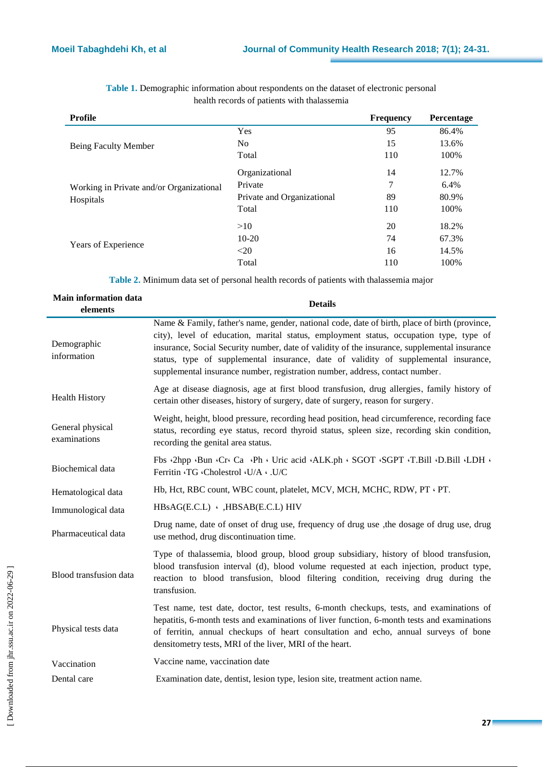| Profile                                  |                            | <b>Frequency</b> | Percentage |
|------------------------------------------|----------------------------|------------------|------------|
|                                          | Yes                        | 95               | 86.4%      |
| Being Faculty Member                     | No.                        | 15               | 13.6%      |
|                                          | Total                      | 110              | 100%       |
|                                          | Organizational             | 14               | 12.7%      |
| Working in Private and/or Organizational | Private                    | 7                | 6.4%       |
| Hospitals                                | Private and Organizational | 89               | 80.9%      |
|                                          | Total                      | 110              | 100%       |
|                                          | >10                        | 20               | 18.2%      |
|                                          | $10 - 20$                  | 74               | 67.3%      |
| Years of Experience                      | $20$                       | 16               | 14.5%      |
|                                          | Total                      | 110              | 100%       |

**Table 1.** Demographic information about respondents on the dataset of electronic personal health records of patients with thalassemia

**Table 2.** Minimum data set of personal health records of patients with thalassemia major

| <b>Main information data</b><br>elements | <b>Details</b>                                                                                                                                                                                                                                                                                                                                                                                                                                                 |
|------------------------------------------|----------------------------------------------------------------------------------------------------------------------------------------------------------------------------------------------------------------------------------------------------------------------------------------------------------------------------------------------------------------------------------------------------------------------------------------------------------------|
| Demographic<br>information               | Name & Family, father's name, gender, national code, date of birth, place of birth (province,<br>city), level of education, marital status, employment status, occupation type, type of<br>insurance, Social Security number, date of validity of the insurance, supplemental insurance<br>status, type of supplemental insurance, date of validity of supplemental insurance,<br>supplemental insurance number, registration number, address, contact number. |
| <b>Health History</b>                    | Age at disease diagnosis, age at first blood transfusion, drug allergies, family history of<br>certain other diseases, history of surgery, date of surgery, reason for surgery.                                                                                                                                                                                                                                                                                |
| General physical<br>examinations         | Weight, height, blood pressure, recording head position, head circumference, recording face<br>status, recording eye status, record thyroid status, spleen size, recording skin condition,<br>recording the genital area status.                                                                                                                                                                                                                               |
| Biochemical data                         | Fbs 2hpp Bun Cr Ca Ph Uric acid ALK.ph SGOT SGPT T.Bill D.Bill LDH of<br>Ferritin G Gholestrol G/A . U/C                                                                                                                                                                                                                                                                                                                                                       |
| Hematological data                       | Hb, Hct, RBC count, WBC count, platelet, MCV, MCH, MCHC, RDW, PT · PT.                                                                                                                                                                                                                                                                                                                                                                                         |
| Immunological data                       | $HBSAG( E.C.L) \cdot , HBSAB( E.C.L) HIV$                                                                                                                                                                                                                                                                                                                                                                                                                      |
| Pharmaceutical data                      | Drug name, date of onset of drug use, frequency of drug use, the dosage of drug use, drug<br>use method, drug discontinuation time.                                                                                                                                                                                                                                                                                                                            |
| Blood transfusion data                   | Type of thalassemia, blood group, blood group subsidiary, history of blood transfusion,<br>blood transfusion interval (d), blood volume requested at each injection, product type,<br>reaction to blood transfusion, blood filtering condition, receiving drug during the<br>transfusion.                                                                                                                                                                      |
| Physical tests data                      | Test name, test date, doctor, test results, 6-month checkups, tests, and examinations of<br>hepatitis, 6-month tests and examinations of liver function, 6-month tests and examinations<br>of ferritin, annual checkups of heart consultation and echo, annual surveys of bone<br>densitometry tests, MRI of the liver, MRI of the heart.                                                                                                                      |
| Vaccination                              | Vaccine name, vaccination date                                                                                                                                                                                                                                                                                                                                                                                                                                 |
| Dental care                              | Examination date, dentist, lesion type, lesion site, treatment action name.                                                                                                                                                                                                                                                                                                                                                                                    |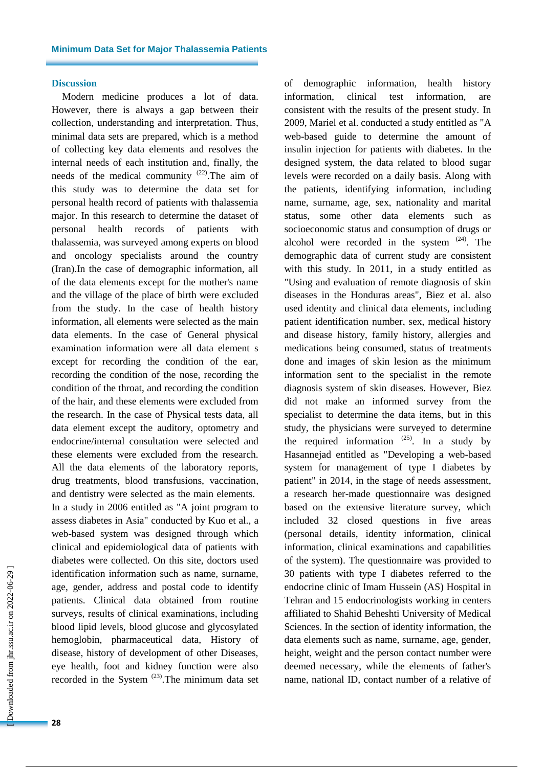#### **Discussion**

Modern medicine produces a lot of data. However, there is always a gap between their collection, understanding and interpretation. Thus, minimal data sets are prepared, which is a method of collecting key data elements and resolves the internal needs of each institution and, finally, the needs of the medical community  $(22)$ . The aim of this study was to determine the data set for personal health record of patients with thalassemia major. In this research to determine the dataset of personal health records of patients with thalassemia, was surveyed among experts on blood and oncology specialists around the country (Iran).In the case of demographic information, all of the data elements except for the mother's name and the village of the place of birth were excluded from the study. In the case of health history information, all elements were selected as the main data elements. In the case of General physical examination information were all data element s except for recording the condition of the ear, recording the condition of the nose, recording the condition of the throat, and recording the condition of the hair, and these elements were excluded from the research. In the case of Physical tests data, all data element except the auditory, optometry and endocrine/internal consultation were selected and these elements were excluded from the research. All the data elements of the laboratory reports, drug treatments, blood transfusions, vaccination, and dentistry were selected as the main elements. In a study in 2006 entitled as "A joint program to assess diabetes in Asia" conducted by Kuo et al., a web-based system was designed through which clinical and epidemiological data of patients with diabetes were collected. On this site, doctors used identification information such as name, surname, age, gender, address and postal code to identify patients. Clinical data obtained from routine surveys, results of clinical examinations, including blood lipid levels, blood glucose and glycosylated hemoglobin, pharmaceutical data, History of disease, history of development of other Diseases, eye health, foot and kidney function were also recorded in the System  $(23)$ . The minimum data set of demographic information, health history information, clinical test information, are consistent with the results of the present study. In 2009, Mariel et al. conducted a study entitled as "A web-based guide to determine the amount of insulin injection for patients with diabetes. In the designed system, the data related to blood sugar levels were recorded on a daily basis. Along with the patients, identifying information, including name, surname, age, sex, nationality and marital status, some other data elements such as socioeconomic status and consumption of drugs or alcohol were recorded in the system  $(24)$ . The demographic data of current study are consistent with this study. In 2011, in a study entitled as "Using and evaluation of remote diagnosis of skin diseases in the Honduras areas", Biez et al. also used identity and clinical data elements, including patient identification number, sex, medical history and disease history, family history, allergies and medications being consumed, status of treatments done and images of skin lesion as the minimum information sent to the specialist in the remote diagnosis system of skin diseases. However, Biez did not make an informed survey from the specialist to determine the data items, but in this study, the physicians were surveyed to determine the required information  $(25)$ . In a study by Hasannejad entitled as "Developing a web-based system for management of type I diabetes by patient" in 2014, in the stage of needs assessment, a research her-made questionnaire was designed based on the extensive literature survey, which included 32 closed questions in five areas (personal details, identity information, clinical information, clinical examinations and capabilities of the system). The questionnaire was provided to 30 patients with type I diabetes referred to the endocrine clinic of Imam Hussein (AS) Hospital in Tehran and 15 endocrinologists working in centers affiliated to Shahid Beheshti University of Medical Sciences. In the section of identity information, the data elements such as name, surname, age, gender, height, weight and the person contact number were deemed necessary, while the elements of father's name, national ID, contact number of a relative of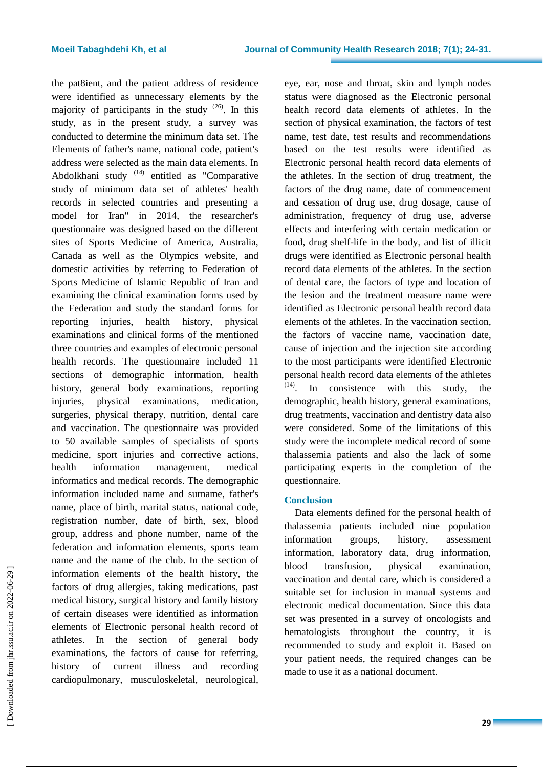the pat8ient, and the patient address of residence were identified as unnecessary elements by the majority of participants in the study  $(26)$ . In this study, as in the present study, a survey was conducted to determine the minimum data set. The Elements of father's name, national code, patient's address were selected as the main data elements. In Abdolkhani study <sup>(14)</sup> entitled as "Comparative study of minimum data set of athletes' health records in selected countries and presenting a model for Iran" in 2014, the researcher's questionnaire was designed based on the different sites of Sports Medicine of America, Australia, Canada as well as the Olympics website, and domestic activities by referring to Federation of Sports Medicine of Islamic Republic of Iran and examining the clinical examination forms used by the Federation and study the standard forms for reporting injuries, health history, physical examinations and clinical forms of the mentioned three countries and examples of electronic personal health records. The questionnaire included 11 sections of demographic information, health history, general body examinations, reporting injuries, physical examinations, medication, surgeries, physical therapy, nutrition, dental care and vaccination. The questionnaire was provided to 50 available samples of specialists of sports medicine, sport injuries and corrective actions, health information management, medical informatics and medical records. The demographic information included name and surname, father's name, place of birth, marital status, national code, registration number, date of birth, sex, blood group, address and phone number, name of the federation and information elements, sports team name and the name of the club. In the section of information elements of the health history, the factors of drug allergies, taking medications, past medical history, surgical history and family history of certain diseases were identified as information elements of Electronic personal health record of athletes. In the section of general body examinations, the factors of cause for referring, history of current illness and recording cardiopulmonary, musculoskeletal, neurological,

eye, ear, nose and throat, skin and lymph nodes status were diagnosed as the Electronic personal health record data elements of athletes. In the section of physical examination, the factors of test name, test date, test results and recommendations based on the test results were identified as Electronic personal health record data elements of the athletes. In the section of drug treatment, the factors of the drug name, date of commencement and cessation of drug use, drug dosage, cause of administration, frequency of drug use, adverse effects and interfering with certain medication or food, drug shelf-life in the body, and list of illicit drugs were identified as Electronic personal health record data elements of the athletes. In the section of dental care, the factors of type and location of the lesion and the treatment measure name were identified as Electronic personal health record data elements of the athletes. In the vaccination section, the factors of vaccine name, vaccination date, cause of injection and the injection site according to the most participants were identified Electronic personal health record data elements of the athletes (14) . In consistence with this study, the demographic, health history, general examinations, drug treatments, vaccination and dentistry data also were considered. Some of the limitations of this study were the incomplete medical record of some thalassemia patients and also the lack of some participating experts in the completion of the questionnaire.

### **Conclusion**

Data elements defined for the personal health of thalassemia patients included nine population information groups, history, assessment information, laboratory data, drug information, blood transfusion, physical examination, vaccination and dental care, which is considered a suitable set for inclusion in manual systems and electronic medical documentation. Since this data set was presented in a survey of oncologists and hematologists throughout the country, it is recommended to study and exploit it. Based on your patient needs, the required changes can be made to use it as a national document.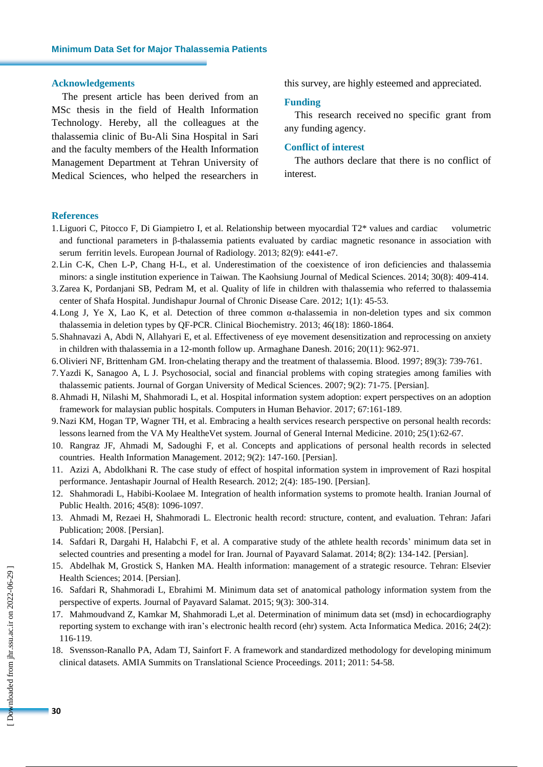#### **Acknowledgements**

The present article has been derived from an MSc thesis in the field of Health Information Technology. Hereby, all the colleagues at the thalassemia clinic of Bu-Ali Sina Hospital in Sari and the faculty members of the Health Information Management Department at Tehran University of Medical Sciences, who helped the researchers in this survey, are highly esteemed and appreciated.

#### **Funding**

This research received no specific grant from any funding agency.

### **Conflict of interest**

The authors declare that there is no conflict of interest.

#### **References**

- 1.Liguori C, Pitocco F, Di Giampietro I, et al. Relationship between myocardial T2\* values and cardiac volumetric and functional parameters in β-thalassemia patients evaluated by cardiac magnetic resonance in association with serum ferritin levels. European Journal of Radiology. 2013; 82(9): e441-e7.
- 2.Lin C-K, Chen L-P, Chang H-L, et al. Underestimation of the coexistence of iron deficiencies and thalassemia minors: a single institution experience in Taiwan. The Kaohsiung Journal of Medical Sciences. 2014; 30(8): 409-414.
- 3.Zarea K, Pordanjani SB, Pedram M, et al. Quality of life in children with thalassemia who referred to thalassemia center of Shafa Hospital. Jundishapur Journal of Chronic Disease Care. 2012; 1(1): 45-53.
- 4.Long J, Ye X, Lao K, et al. Detection of three common α-thalassemia in non-deletion types and six common thalassemia in deletion types by QF-PCR. Clinical Biochemistry. 2013; 46(18): 1860-1864.
- 5.Shahnavazi A, Abdi N, Allahyari E, et al. Effectiveness of eye movement desensitization and reprocessing on anxiety in children with thalassemia in a 12-month follow up. Armaghane Danesh. 2016; 20(11): 962-971.
- 6.Olivieri NF, Brittenham GM. Iron-chelating therapy and the treatment of thalassemia. Blood. 1997; 89(3): 739-761.
- 7.Yazdi K, Sanagoo A, L J. [Psychosocial,](https://goums.ac.ir/journal/article-1-266-en.pdf) social and financial problems with coping strategies among families with [thalassemic](https://goums.ac.ir/journal/article-1-266-en.pdf) patients. Journal of Gorgan University of Medical Sciences. 2007; 9(2): 71-75. [Persian].
- 8.Ahmadi H, Nilashi M, Shahmoradi L, et al. Hospital information system adoption: expert perspectives on an adoption framework for malaysian public hospitals. Computers in Human Behavior. 2017; 67:161-189.
- 9.Nazi KM, Hogan TP, Wagner TH, et al. Embracing a health services research perspective on personal health records: lessons learned from the VA My HealtheVet system. Journal of General Internal Medicine. 2010; 25(1):62-67.
- 10. Rangraz JF, Ahmadi M, Sadoughi F, et al. Concepts and applications of personal health records in selected countries. Health Information [Management.](http://www.sid.ir/En/Journal/JournalList.aspx?ID=8003) 2012; 9(2): 147-160. [Persian].
- 11. Azizi A, Abdolkhani R. The case study of effect of hospital information system in improvement of Razi hospital performance. Jentashapir Journal of Health Research. 2012; 2(4): 185-190. [Persian].
- 12. Shahmoradi L, Habibi-Koolaee M. Integration of health information systems to promote health. Iranian Journal of Public Health. 2016; 45(8): 1096-1097.
- 13. Ahmadi M, Rezaei H, Shahmoradi L. Electronic health record: structure, content, and evaluation. Tehran: Jafari Publication; 2008. [Persian].
- 14. Safdari R, Dargahi H, Halabchi F, et al. A comparative study of the athlete health records' minimum data set in selected countries and presenting a model for Iran. Journal of Payavard Salamat. 2014; 8(2): 134-142. [Persian].
- 15. Abdelhak M, Grostick S, Hanken MA. Health information: management of a strategic resource. Tehran: Elsevier Health Sciences; 2014. [Persian].
- 16. Safdari R, Shahmoradi L, Ebrahimi M. Minimum data set of anatomical pathology information system from the perspective of experts. Journal of Payavard Salamat. 2015; 9(3): 300-314.
- 17. Mahmoudvand Z, Kamkar M, Shahmoradi L,et al. Determination of minimum data set (msd) in echocardiography reporting system to exchange with iran's electronic health record (ehr) system. Acta Informatica Medica. 2016; 24(2): 116-119.
- 18. Svensson-Ranallo PA, Adam TJ, Sainfort F. A framework and standardized methodology for developing minimum clinical datasets. AMIA Summits on Translational Science Proceedings. 2011; 2011: 54-58.